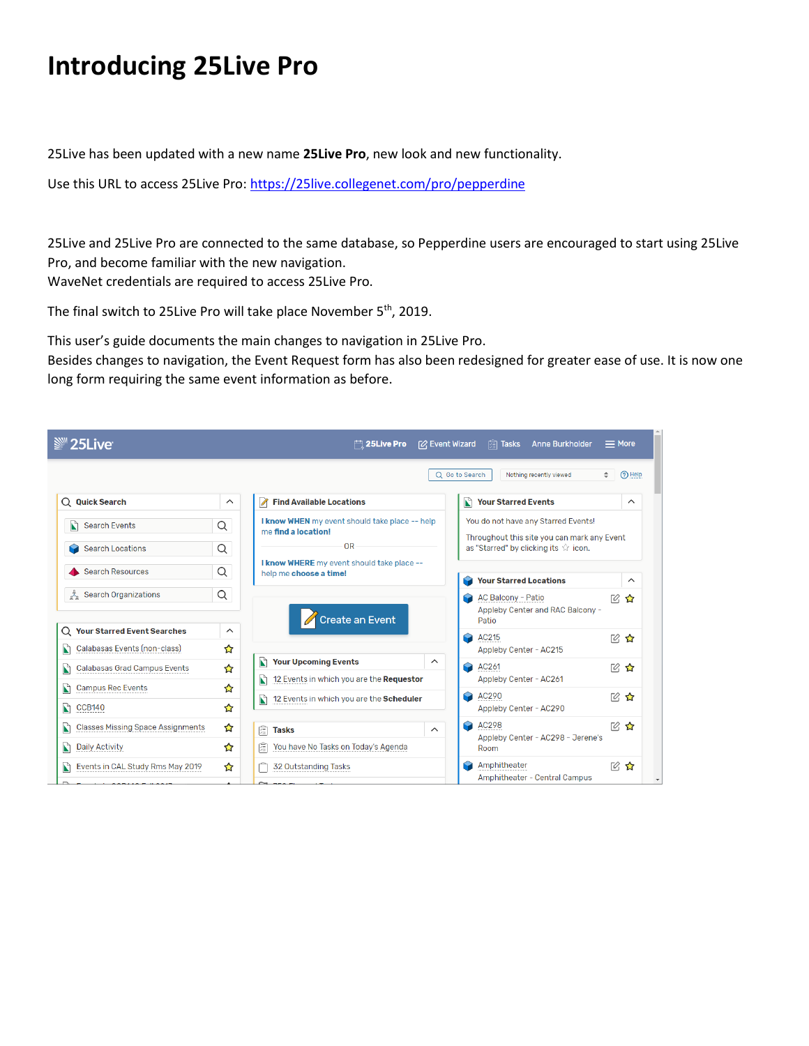## **Introducing 25Live Pro**

25Live has been updated with a new name **25Live Pro**, new look and new functionality.

Use this URL to access 25Live Pro:<https://25live.collegenet.com/pro/pepperdine>

25Live and 25Live Pro are connected to the same database, so Pepperdine users are encouraged to start using 25Live Pro, and become familiar with the new navigation. WaveNet credentials are required to access 25Live Pro.

The final switch to 25Live Pro will take place November 5<sup>th</sup>, 2019.

This user's guide documents the main changes to navigation in 25Live Pro.

Besides changes to navigation, the Event Request form has also been redesigned for greater ease of use. It is now one long form requiring the same event information as before.

| <sup>■</sup> 25Live                                                 |                          | $\Box$ 25Live Pro                                                                        | $=$ More<br>[2] Event Wizard<br><b>图 Tasks</b><br><b>Anne Burkholder</b>            |
|---------------------------------------------------------------------|--------------------------|------------------------------------------------------------------------------------------|-------------------------------------------------------------------------------------|
|                                                                     |                          |                                                                                          | (?) Help<br>Nothing recently viewed<br>Q Go to Search<br>÷                          |
| $Q$ Quick Search                                                    | $\wedge$                 | <b>Find Available Locations</b><br>$\blacksquare$                                        | <b>Your Starred Events</b><br>N<br>$\wedge$                                         |
| N<br><b>Search Events</b>                                           | Q                        | I know WHEN my event should take place -- help<br>me find a location!                    | You do not have any Starred Events!                                                 |
| <b>Search Locations</b>                                             | Q                        | OR                                                                                       | Throughout this site you can mark any Event<br>as "Starred" by clicking its ☆ icon. |
| Search Resources                                                    | Q                        | I know WHERE my event should take place --<br>help me choose a time!                     | <b>Your Starred Locations</b><br>$\hat{\phantom{1}}$                                |
| & Search Organizations                                              | Q                        | Create an Event                                                                          | <b>AC Balcony - Patio</b><br>12 ☆<br>Appleby Center and RAC Balcony -<br>Patio      |
| Q Your Starred Event Searches<br>Calabasas Events (non-class)<br>N  | $\hat{\phantom{1}}$<br>☆ |                                                                                          | AC215<br>13 ☆<br>Appleby Center - AC215                                             |
| <b>Calabasas Grad Campus Events</b><br>N                            | ☆                        | <b>Your Upcoming Events</b><br>N<br>$\wedge$<br>12 Events in which you are the Requestor | AC261<br>■ ☆<br>Q<br>Appleby Center - AC261                                         |
| D<br><b>Campus Rec Events</b><br>N<br><b>CCB140</b>                 | ☆<br>☆                   | 12 Events in which you are the Scheduler<br>N                                            | AC290<br>12 ☆<br>Appleby Center - AC290                                             |
| <b>Classes Missing Space Assignments</b><br>N                       | ☆<br>✿                   | 隨<br><b>Tasks</b><br>$\sim$<br>You have No Tasks on Today's Agenda                       | AC298<br>19. 公<br>Appleby Center - AC298 - Jerene's                                 |
| <b>Daily Activity</b><br>N<br>Events in CAL Study Rms May 2019<br>N | ✿                        | 隨<br>32 Outstanding Tasks                                                                | Room<br>Amphitheater<br>■ ☆<br>Amphitheater - Central Campus                        |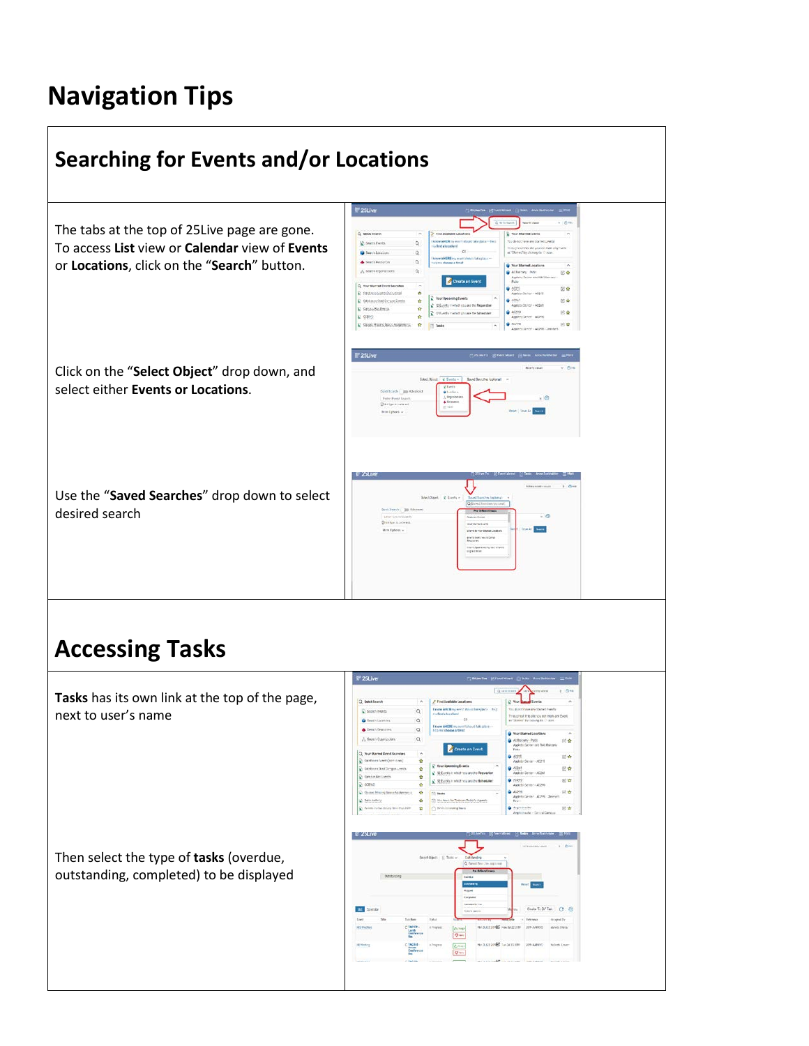## **Navigation Tips**